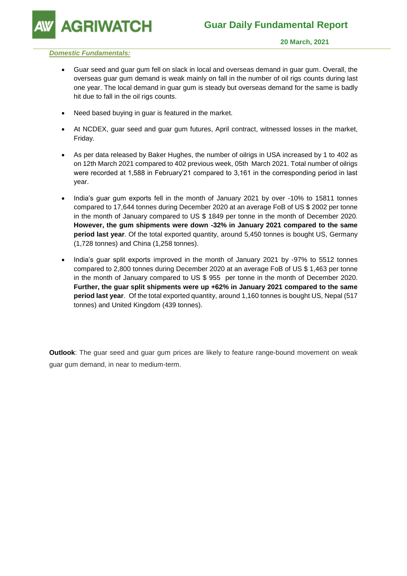

## *Domestic Fundamentals:*

- Guar seed and guar gum fell on slack in local and overseas demand in guar gum. Overall, the overseas guar gum demand is weak mainly on fall in the number of oil rigs counts during last one year. The local demand in guar gum is steady but overseas demand for the same is badly hit due to fall in the oil rigs counts.
- Need based buying in guar is featured in the market.
- At NCDEX, guar seed and guar gum futures, April contract, witnessed losses in the market, Friday.
- As per data released by Baker Hughes, the number of oilrigs in USA increased by 1 to 402 as on 12th March 2021 compared to 402 previous week, 05th March 2021. Total number of oilrigs were recorded at 1,588 in February'21 compared to 3,161 in the corresponding period in last year.
- India's guar gum exports fell in the month of January 2021 by over -10% to 15811 tonnes compared to 17,644 tonnes during December 2020 at an average FoB of US \$ 2002 per tonne in the month of January compared to US \$ 1849 per tonne in the month of December 2020. **However, the gum shipments were down -32% in January 2021 compared to the same period last year**. Of the total exported quantity, around 5,450 tonnes is bought US, Germany (1,728 tonnes) and China (1,258 tonnes).
- India's guar split exports improved in the month of January 2021 by -97% to 5512 tonnes compared to 2,800 tonnes during December 2020 at an average FoB of US \$ 1,463 per tonne in the month of January compared to US \$ 955 per tonne in the month of December 2020. **Further, the guar split shipments were up +62% in January 2021 compared to the same period last year**. Of the total exported quantity, around 1,160 tonnes is bought US, Nepal (517 tonnes) and United Kingdom (439 tonnes).

**Outlook**: The guar seed and guar gum prices are likely to feature range-bound movement on weak guar gum demand, in near to medium-term.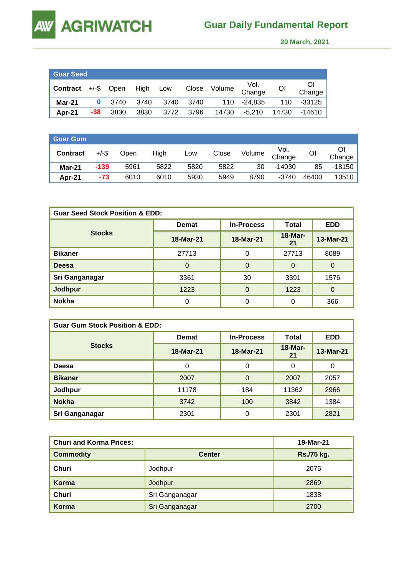**AW** 

 **20 March, 2021** 

| ∣ Guar Seed <sup>1</sup> |       |            |          |      |       |        |                |       |              |
|--------------------------|-------|------------|----------|------|-------|--------|----------------|-------|--------------|
| Contract                 |       | +/-\$ Open | High Low |      | Close | Volume | Vol.<br>Change | ΟI    | Οl<br>Change |
| Mar-21                   | 0     | 3740       | 3740     | 3740 | 3740  | 110    | -24.835        | 110   | -33125       |
| Apr-21                   | $-38$ | 3830       | 3830     | 3772 | 3796  | 14730  | $-5.210$       | 14730 | -14610       |

| Guar Gum        |          |      |      |      |       |        |                |       |          |
|-----------------|----------|------|------|------|-------|--------|----------------|-------|----------|
| <b>Contract</b> | $+/-$ \$ | Open | High | Low  | Close | Volume | Vol.<br>Change | OI    | Change   |
| <b>Mar-21</b>   | $-139$   | 5961 | 5822 | 5820 | 5822  | 30     | $-14030$       | 85    | $-18150$ |
| Apr-21          | $-73$    | 6010 | 6010 | 5930 | 5949  | 8790   | $-3740$        | 46400 | 10510    |

| <b>Guar Seed Stock Position &amp; EDD:</b> |              |                   |                 |                |  |  |  |
|--------------------------------------------|--------------|-------------------|-----------------|----------------|--|--|--|
|                                            | <b>Demat</b> | <b>In-Process</b> | Total           | <b>EDD</b>     |  |  |  |
| <b>Stocks</b>                              | 18-Mar-21    | 18-Mar-21         | $18-Mar-$<br>21 | 13-Mar-21      |  |  |  |
| <b>Bikaner</b>                             | 27713        | $\Omega$          | 27713           | 8089           |  |  |  |
| <b>Deesa</b>                               | $\Omega$     | $\Omega$          | $\Omega$        | $\Omega$       |  |  |  |
| Sri Ganganagar                             | 3361         | 30                | 3391            | 1576           |  |  |  |
| Jodhpur                                    | 1223         | $\Omega$          | 1223            | $\overline{0}$ |  |  |  |
| <b>Nokha</b>                               | $\Omega$     | 0                 | 0               | 366            |  |  |  |

| <b>Guar Gum Stock Position &amp; EDD:</b> |              |                   |                      |            |  |  |  |
|-------------------------------------------|--------------|-------------------|----------------------|------------|--|--|--|
|                                           | <b>Demat</b> | <b>In-Process</b> | Total                | <b>EDD</b> |  |  |  |
| <b>Stocks</b>                             | 18-Mar-21    | 18-Mar-21         | <b>18-Mar-</b><br>21 | 13-Mar-21  |  |  |  |
| <b>Deesa</b>                              | 0            | 0                 | 0                    | 0          |  |  |  |
| <b>Bikaner</b>                            | 2007         | $\Omega$          | 2007                 | 2057       |  |  |  |
| Jodhpur                                   | 11178        | 184               | 11362                | 2966       |  |  |  |
| <b>Nokha</b>                              | 3742         | 100               | 3842                 | 1384       |  |  |  |
| Sri Ganganagar                            | 2301         | 0                 | 2301                 | 2821       |  |  |  |

| <b>Churi and Korma Prices:</b> | 19-Mar-21      |            |
|--------------------------------|----------------|------------|
| <b>Commodity</b>               | <b>Center</b>  | Rs./75 kg. |
| Churi                          | Jodhpur        | 2075       |
| Korma                          | Jodhpur        | 2869       |
| Churi                          | Sri Ganganagar | 1838       |
| Korma                          | Sri Ganganagar | 2700       |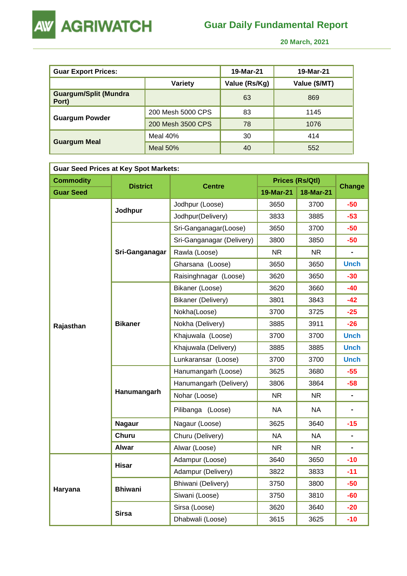

 **20 March, 2021** 

| <b>Guar Export Prices:</b>            |                   | 19-Mar-21     | 19-Mar-21     |
|---------------------------------------|-------------------|---------------|---------------|
|                                       | Variety           | Value (Rs/Kg) | Value (\$/MT) |
| <b>Guargum/Split (Mundra</b><br>Port) |                   | 63            | 869           |
|                                       | 200 Mesh 5000 CPS | 83            | 1145          |
| <b>Guargum Powder</b>                 | 200 Mesh 3500 CPS | 78            | 1076          |
|                                       | Meal $40%$        | 30            | 414           |
| <b>Guargum Meal</b>                   | Meal $50%$        | 40            | 552           |

| <b>Guar Seed Prices at Key Spot Markets:</b> |                 |                           |           |                        |                              |  |  |  |
|----------------------------------------------|-----------------|---------------------------|-----------|------------------------|------------------------------|--|--|--|
| <b>Commodity</b>                             | <b>District</b> | <b>Centre</b>             |           | <b>Prices (Rs/Qtl)</b> | <b>Change</b>                |  |  |  |
| <b>Guar Seed</b>                             |                 |                           | 19-Mar-21 | 18-Mar-21              |                              |  |  |  |
|                                              |                 | Jodhpur (Loose)           | 3650      | 3700                   | $-50$                        |  |  |  |
|                                              | Jodhpur         | Jodhpur(Delivery)         | 3833      | 3885                   | $-53$                        |  |  |  |
|                                              |                 | Sri-Ganganagar(Loose)     | 3650      | 3700                   | $-50$                        |  |  |  |
|                                              |                 | Sri-Ganganagar (Delivery) | 3800      | 3850                   | $-50$                        |  |  |  |
|                                              | Sri-Ganganagar  | Rawla (Loose)             | <b>NR</b> | NR.                    |                              |  |  |  |
|                                              |                 | Gharsana (Loose)          | 3650      | 3650                   | <b>Unch</b>                  |  |  |  |
|                                              |                 | Raisinghnagar (Loose)     | 3620      | 3650                   | $-30$                        |  |  |  |
|                                              |                 | Bikaner (Loose)           | 3620      | 3660                   | $-40$                        |  |  |  |
|                                              |                 | Bikaner (Delivery)        | 3801      | 3843                   | -42                          |  |  |  |
|                                              | <b>Bikaner</b>  | Nokha(Loose)              | 3700      | 3725                   | $-25$                        |  |  |  |
| Rajasthan                                    |                 | Nokha (Delivery)          | 3885      | 3911                   | $-26$                        |  |  |  |
|                                              |                 | Khajuwala (Loose)         | 3700      | 3700                   | <b>Unch</b>                  |  |  |  |
|                                              |                 | Khajuwala (Delivery)      | 3885      | 3885                   | <b>Unch</b>                  |  |  |  |
|                                              |                 | Lunkaransar (Loose)       | 3700      | 3700                   | <b>Unch</b>                  |  |  |  |
|                                              | Hanumangarh     | Hanumangarh (Loose)       | 3625      | 3680                   | $-55$                        |  |  |  |
|                                              |                 | Hanumangarh (Delivery)    | 3806      | 3864                   | $-58$                        |  |  |  |
|                                              |                 | Nohar (Loose)             | <b>NR</b> | <b>NR</b>              | $\qquad \qquad \blacksquare$ |  |  |  |
|                                              |                 | Pilibanga (Loose)         | <b>NA</b> | <b>NA</b>              |                              |  |  |  |
|                                              | <b>Nagaur</b>   | Nagaur (Loose)            | 3625      | 3640                   | $-15$                        |  |  |  |
|                                              | Churu           | Churu (Delivery)          | <b>NA</b> | <b>NA</b>              | $\qquad \qquad \blacksquare$ |  |  |  |
|                                              | <b>Alwar</b>    | Alwar (Loose)             | <b>NR</b> | NR                     |                              |  |  |  |
|                                              |                 | Adampur (Loose)           | 3640      | 3650                   | $-10$                        |  |  |  |
|                                              | <b>Hisar</b>    | Adampur (Delivery)        | 3822      | 3833                   | $-11$                        |  |  |  |
|                                              | <b>Bhiwani</b>  | Bhiwani (Delivery)        | 3750      | 3800                   | $-50$                        |  |  |  |
| Haryana                                      |                 | Siwani (Loose)            | 3750      | 3810                   | $-60$                        |  |  |  |
|                                              |                 | Sirsa (Loose)             | 3620      | 3640                   | $-20$                        |  |  |  |
|                                              | <b>Sirsa</b>    | Dhabwali (Loose)          | 3615      | 3625                   | $-10$                        |  |  |  |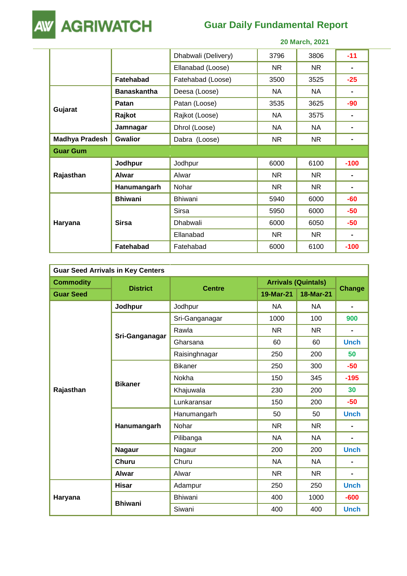

## **Guar Daily Fundamental Report**

|                       |                    | 20 March, 2021      |           |           |                |  |
|-----------------------|--------------------|---------------------|-----------|-----------|----------------|--|
|                       |                    | Dhabwali (Delivery) | 3796      | 3806      | $-11$          |  |
|                       |                    | Ellanabad (Loose)   | <b>NR</b> | NR.       |                |  |
|                       | Fatehabad          | Fatehabad (Loose)   | 3500      | 3525      | $-25$          |  |
|                       | <b>Banaskantha</b> | Deesa (Loose)       | <b>NA</b> | NA.       |                |  |
|                       | Patan              | Patan (Loose)       | 3535      | 3625      | $-90$          |  |
| Gujarat               | Rajkot             | Rajkot (Loose)      | NA.       | 3575      |                |  |
|                       | Jamnagar           | Dhrol (Loose)       | NA.       | NA.       |                |  |
| <b>Madhya Pradesh</b> | <b>Gwalior</b>     | Dabra (Loose)       | <b>NR</b> | <b>NR</b> |                |  |
| <b>Guar Gum</b>       |                    |                     |           |           |                |  |
|                       | Jodhpur            | Jodhpur             | 6000      | 6100      | $-100$         |  |
| Rajasthan             | <b>Alwar</b>       | Alwar               | <b>NR</b> | <b>NR</b> |                |  |
|                       | Hanumangarh        | Nohar               | <b>NR</b> | NR.       | $\blacksquare$ |  |
|                       | <b>Bhiwani</b>     | <b>Bhiwani</b>      | 5940      | 6000      | $-60$          |  |
|                       |                    | Sirsa               | 5950      | 6000      | $-50$          |  |
| Haryana               | <b>Sirsa</b>       | Dhabwali            | 6000      | 6050      | $-50$          |  |
|                       |                    | Ellanabad           | <b>NR</b> | NR.       |                |  |
|                       | <b>Fatehabad</b>   | Fatehabad           | 6000      | 6100      | $-100$         |  |

| <b>Guar Seed Arrivals in Key Centers</b> |                 |                |           |                            |                |  |  |
|------------------------------------------|-----------------|----------------|-----------|----------------------------|----------------|--|--|
| <b>Commodity</b>                         |                 |                |           | <b>Arrivals (Quintals)</b> |                |  |  |
| <b>Guar Seed</b>                         | <b>District</b> | <b>Centre</b>  | 19-Mar-21 | <b>18-Mar-21</b>           | <b>Change</b>  |  |  |
|                                          | Jodhpur         | Jodhpur        | <b>NA</b> | <b>NA</b>                  | $\blacksquare$ |  |  |
|                                          |                 | Sri-Ganganagar | 1000      | 100                        | 900            |  |  |
|                                          |                 | Rawla          | <b>NR</b> | <b>NR</b>                  | ٠              |  |  |
|                                          | Sri-Ganganagar  | Gharsana       | 60        | 60                         | <b>Unch</b>    |  |  |
|                                          |                 | Raisinghnagar  | 250       | 200                        | 50             |  |  |
|                                          | <b>Bikaner</b>  | <b>Bikaner</b> | 250       | 300                        | $-50$          |  |  |
|                                          |                 | Nokha          | 150       | 345                        | $-195$         |  |  |
| Rajasthan                                |                 | Khajuwala      | 230       | 200                        | 30             |  |  |
|                                          |                 | Lunkaransar    | 150       | 200                        | $-50$          |  |  |
|                                          | Hanumangarh     | Hanumangarh    | 50        | 50                         | <b>Unch</b>    |  |  |
|                                          |                 | Nohar          | <b>NR</b> | <b>NR</b>                  | $\blacksquare$ |  |  |
|                                          |                 | Pilibanga      | <b>NA</b> | <b>NA</b>                  | $\blacksquare$ |  |  |
|                                          | <b>Nagaur</b>   | Nagaur         | 200       | 200                        | <b>Unch</b>    |  |  |
|                                          | <b>Churu</b>    | Churu          | <b>NA</b> | <b>NA</b>                  |                |  |  |
|                                          | <b>Alwar</b>    | Alwar          | <b>NR</b> | <b>NR</b>                  | $\blacksquare$ |  |  |
|                                          | <b>Hisar</b>    | Adampur        | 250       | 250                        | <b>Unch</b>    |  |  |
| Haryana                                  |                 | <b>Bhiwani</b> | 400       | 1000                       | $-600$         |  |  |
|                                          | <b>Bhiwani</b>  | Siwani         | 400       | 400                        | <b>Unch</b>    |  |  |